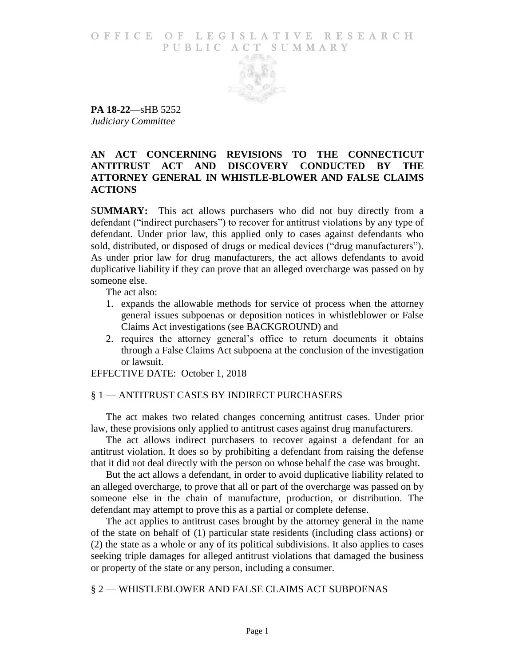#### O F F I C E O F L E G I S L A T I V E R E S E A R C H PUBLIC ACT SUMMARY



**PA 18-22**—sHB 5252 *Judiciary Committee*

# **AN ACT CONCERNING REVISIONS TO THE CONNECTICUT ANTITRUST ACT AND DISCOVERY CONDUCTED BY THE ATTORNEY GENERAL IN WHISTLE-BLOWER AND FALSE CLAIMS ACTIONS**

S**UMMARY:** This act allows purchasers who did not buy directly from a defendant ("indirect purchasers") to recover for antitrust violations by any type of defendant. Under prior law, this applied only to cases against defendants who sold, distributed, or disposed of drugs or medical devices ("drug manufacturers"). As under prior law for drug manufacturers, the act allows defendants to avoid duplicative liability if they can prove that an alleged overcharge was passed on by someone else.

The act also:

- 1. expands the allowable methods for service of process when the attorney general issues subpoenas or deposition notices in whistleblower or False Claims Act investigations (see BACKGROUND) and
- 2. requires the attorney general's office to return documents it obtains through a False Claims Act subpoena at the conclusion of the investigation or lawsuit.

EFFECTIVE DATE: October 1, 2018

## § 1 — ANTITRUST CASES BY INDIRECT PURCHASERS

The act makes two related changes concerning antitrust cases. Under prior law, these provisions only applied to antitrust cases against drug manufacturers.

The act allows indirect purchasers to recover against a defendant for an antitrust violation. It does so by prohibiting a defendant from raising the defense that it did not deal directly with the person on whose behalf the case was brought.

But the act allows a defendant, in order to avoid duplicative liability related to an alleged overcharge, to prove that all or part of the overcharge was passed on by someone else in the chain of manufacture, production, or distribution. The defendant may attempt to prove this as a partial or complete defense.

The act applies to antitrust cases brought by the attorney general in the name of the state on behalf of (1) particular state residents (including class actions) or (2) the state as a whole or any of its political subdivisions. It also applies to cases seeking triple damages for alleged antitrust violations that damaged the business or property of the state or any person, including a consumer.

## § 2 — WHISTLEBLOWER AND FALSE CLAIMS ACT SUBPOENAS